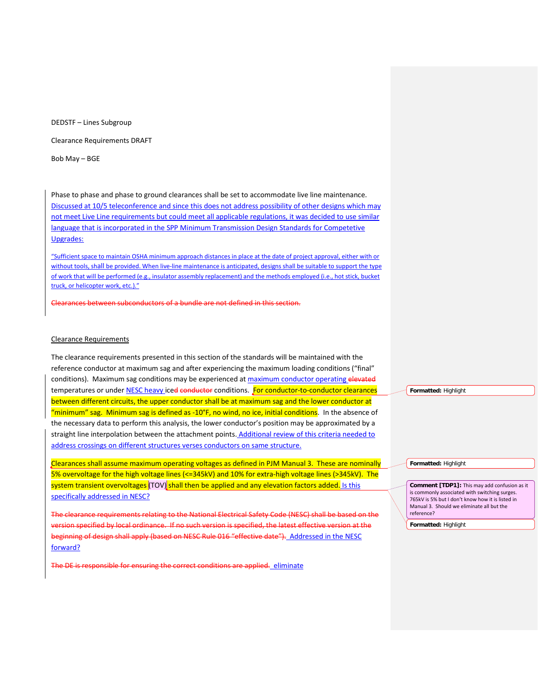DEDSTF – Lines Subgroup

Clearance Requirements DRAFT

Bob May – BGE

Phase to phase and phase to ground clearances shall be set to accommodate live line maintenance. Discussed at 10/5 teleconference and since this does not address possibility of other designs which may not meet Live Line requirements but could meet all applicable regulations, it was decided to use similar language that is incorporated in the SPP Minimum Transmission Design Standards for Competetive Upgrades:

"Sufficient space to maintain OSHA minimum approach distances in place at the date of project approval, either with or without tools, shall be provided. When live-line maintenance is anticipated, designs shall be suitable to support the type of work that will be performed (e.g., insulator assembly replacement) and the methods employed (i.e., hot stick, bucket truck, or helicopter work, etc.)."

Clearances between subconductors of a bundle are not defined in this section.

# Clearance Requirements

The clearance requirements presented in this section of the standards will be maintained with the reference conductor at maximum sag and after experiencing the maximum loading conditions ("final" conditions). Maximum sag conditions may be experienced at maximum conductor operating elevated temperatures or under NESC heavy ice<del>d conductor</del> conditions. For conductor-to-conductor clearances between different circuits, the upper conductor shall be at maximum sag and the lower conductor at "minimum" sag. Minimum sag is defined as -10<sup>°</sup>F, no wind, no ice, initial conditions. In the absence of the necessary data to perform this analysis, the lower conductor's position may be approximated by a straight line interpolation between the attachment points. Additional review of this criteria needed to address crossings on different structures verses conductors on same structure.

Clearances shall assume maximum operating voltages as defined in PJM Manual 3. These are nominally 5% overvoltage for the high voltage lines (<=345kV) and 10% for extra-high voltage lines (>345kV). The system transient overvoltages (TOV) shall then be applied and any elevation factors added. Is this specifically addressed in NESC?

The clearance requirements relating to the National Electrical Safety Code (NESC) shall be based on the version specified by local ordinance. If no such version is specified, the latest effective version at the beginning of design shall apply (based on NESC Rule 016 "effective date"). Addressed in the NESC forward?

The DE is responsible for ensuring the correct conditions are applied. eliminate

**Formatted:** Highlight

**Formatted:** Highlight

**Comment [TDP1]:** This may add confusion as it is commonly associated with switching surges. 765kV is 5% but I don't know how it is listed in Manual 3. Should we eliminate all but the reference?

**Formatted:** Highlight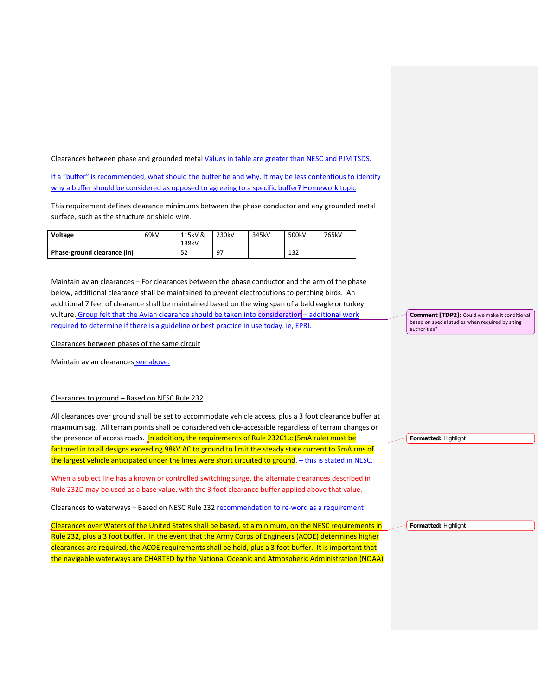Clearances between phase and grounded metal Values in table are greater than NESC and PJM TSDS.

If a "buffer" is recommended, what should the buffer be and why. It may be less contentious to identify why a buffer should be considered as opposed to agreeing to a specific buffer? Homework topic

This requirement defines clearance minimums between the phase conductor and any grounded metal surface, such as the structure or shield wire.

| Voltage                     | 69kV | 115kV &<br>138kV | 230kV | 345kV | 500kV | 765kV |
|-----------------------------|------|------------------|-------|-------|-------|-------|
| Phase-ground clearance (in) |      | 52               | 97    |       | 132   |       |

Maintain avian clearances – For clearances between the phase conductor and the arm of the phase below, additional clearance shall be maintained to prevent electrocutions to perching birds. An additional 7 feet of clearance shall be maintained based on the wing span of a bald eagle or turkey vulture. Group felt that the Avian clearance should be taken into consideration – additional work required to determine if there is a guideline or best practice in use today. ie, EPRI.

Clearances between phases of the same circuit

Maintain avian clearances see above.

## Clearances to ground – Based on NESC Rule 232

All clearances over ground shall be set to accommodate vehicle access, plus a 3 foot clearance buffer at maximum sag. All terrain points shall be considered vehicle-accessible regardless of terrain changes or the presence of access roads. In addition, the requirements of Rule 232C1.c (5mA rule) must be factored in to all designs exceeding 98kV AC to ground to limit the steady state current to 5mA rms of the largest vehicle anticipated under the lines were short circuited to ground. – this is stated in NESC. When a subject line has a known or controlled switching surge, the alternate clearances described in **Formatted:** Highlight

Rule 232D may be used as a base value, with the 3 foot clearance buffer applied above that value.

Clearances to waterways – Based on NESC Rule 232 recommendation to re-word as a requirement

Clearances over Waters of the United States shall be based, at a minimum, on the NESC requirements in Rule 232, plus a 3 foot buffer. In the event that the Army Corps of Engineers (ACOE) determines higher clearances are required, the ACOE requirements shall be held, plus a 3 foot buffer. It is important that the navigable waterways are CHARTED by the National Oceanic and Atmospheric Administration (NOAA) **Comment [TDP2]:** Could we make it conditional based on special studies when required by siting authorities?

**Formatted:** Highlight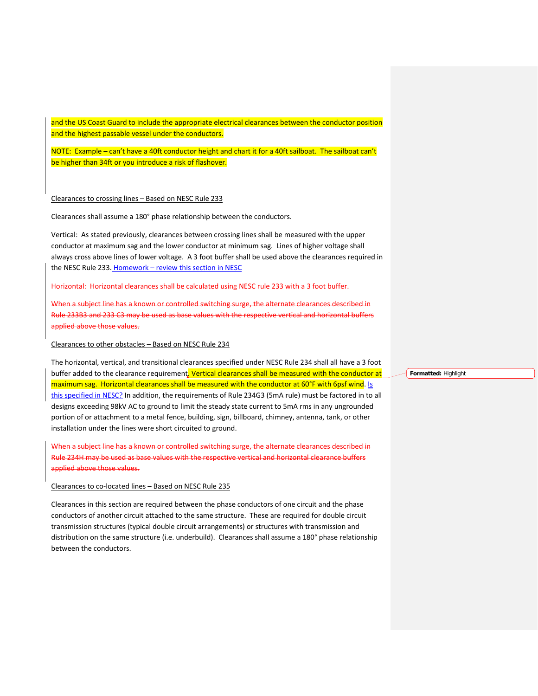and the US Coast Guard to include the appropriate electrical clearances between the conductor position and the highest passable vessel under the conductors.

NOTE: Example – can't have a 40ft conductor height and chart it for a 40ft sailboat. The sailboat can't be higher than 34ft or you introduce a risk of flashover.

## Clearances to crossing lines – Based on NESC Rule 233

Clearances shall assume a 180° phase relationship between the conductors.

Vertical: As stated previously, clearances between crossing lines shall be measured with the upper conductor at maximum sag and the lower conductor at minimum sag. Lines of higher voltage shall always cross above lines of lower voltage. A 3 foot buffer shall be used above the clearances required in the NESC Rule 233. Homework - review this section in NESC

Horizontal: Horizontal clearances shall be calculated using NESC rule 233 with a 3 foot buffer.

When a subject line has a known or controlled switching surge, the alternate clearances described in Rule 233B3 and 233 C3 may be used as base values with the respective vertical and horizontal buffers applied above those values.

#### Clearances to other obstacles – Based on NESC Rule 234

The horizontal, vertical, and transitional clearances specified under NESC Rule 234 shall all have a 3 foot buffer added to the clearance requirement. Vertical clearances shall be measured with the conductor at maximum sag. Horizontal clearances shall be measured with the conductor at 60°F with 6psf wind. Is this specified in NESC? In addition, the requirements of Rule 234G3 (5mA rule) must be factored in to all designs exceeding 98kV AC to ground to limit the steady state current to 5mA rms in any ungrounded portion of or attachment to a metal fence, building, sign, billboard, chimney, antenna, tank, or other installation under the lines were short circuited to ground.

en a subject line has a known or controlled switching surge, the alternate clearances described in Rule 234H may be used as base values with the respective vertical and horizontal clearance buffers applied above those values.

#### Clearances to co-located lines – Based on NESC Rule 235

Clearances in this section are required between the phase conductors of one circuit and the phase conductors of another circuit attached to the same structure. These are required for double circuit transmission structures (typical double circuit arrangements) or structures with transmission and distribution on the same structure (i.e. underbuild). Clearances shall assume a 180° phase relationship between the conductors.

**Formatted:** Highlight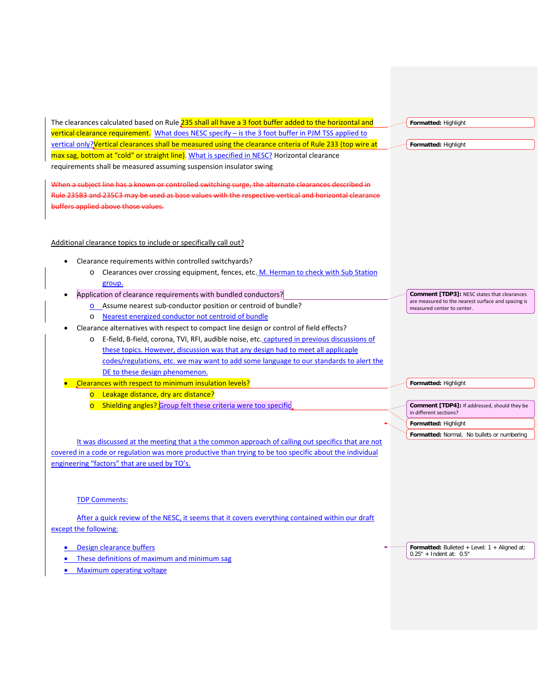| The clearances calculated based on Rule 235 shall all have a 3 foot buffer added to the horizontal and     | Formatted: Highlight                                                             |
|------------------------------------------------------------------------------------------------------------|----------------------------------------------------------------------------------|
| vertical clearance requirement. What does NESC specify - is the 3 foot buffer in PJM TSS applied to        |                                                                                  |
| vertical only? Vertical clearances shall be measured using the clearance criteria of Rule 233 (top wire at | Formatted: Highlight                                                             |
| max sag, bottom at "cold" or straight line). What is specified in NESC? Horizontal clearance               |                                                                                  |
| requirements shall be measured assuming suspension insulator swing                                         |                                                                                  |
| When a subject line has a known or controlled switching surge, the alternate clearances described in       |                                                                                  |
| Rule 235B3 and 235C3 may be used as base values with the respective vertical and horizontal clearance      |                                                                                  |
| buffers applied above those values.                                                                        |                                                                                  |
|                                                                                                            |                                                                                  |
|                                                                                                            |                                                                                  |
| Additional clearance topics to include or specifically call out?                                           |                                                                                  |
| Clearance requirements within controlled switchyards?                                                      |                                                                                  |
| Clearances over crossing equipment, fences, etc. M. Herman to check with Sub Station<br>$\circ$            |                                                                                  |
| group.                                                                                                     |                                                                                  |
| Application of clearance requirements with bundled conductors?                                             | Comment [TDP3]: NESC states that clearances                                      |
| o Assume nearest sub-conductor position or centroid of bundle?                                             | are measured to the nearest surface and spacing is<br>measured center to center. |
| Nearest energized conductor not centroid of bundle<br>$\circ$                                              |                                                                                  |
| Clearance alternatives with respect to compact line design or control of field effects?                    |                                                                                  |
| E-field, B-field, corona, TVI, RFI, audible noise, etc. captured in previous discussions of<br>$\circ$     |                                                                                  |
| these topics. However, discussion was that any design had to meet all applicaple                           |                                                                                  |
| codes/regulations, etc. we may want to add some language to our standards to alert the                     |                                                                                  |
| DE to these design phenomenon.                                                                             |                                                                                  |
| Clearances with respect to minimum insulation levels?                                                      | Formatted: Highlight                                                             |
| Leakage distance, dry arc distance?<br>$\overline{\mathsf{C}}$                                             |                                                                                  |
| Shielding angles? Group felt these criteria were too specific                                              | Comment [TDP4]: If addressed, should they be<br>in different sections?           |
|                                                                                                            | Formatted: Highlight                                                             |
|                                                                                                            | Formatted: Normal, No bullets or numbering                                       |
| It was discussed at the meeting that a the common approach of calling out specifics that are not           |                                                                                  |
| covered in a code or regulation was more productive than trying to be too specific about the individual    |                                                                                  |
| engineering "factors" that are used by TO's.                                                               |                                                                                  |
|                                                                                                            |                                                                                  |
|                                                                                                            |                                                                                  |
| <b>TDP Comments:</b>                                                                                       |                                                                                  |
| After a quick review of the NESC, it seems that it covers everything contained within our draft            |                                                                                  |
| except the following:                                                                                      |                                                                                  |
| Design clearance buffers                                                                                   | Formatted: Bulleted + Level: $1 +$ Aligned at:                                   |
| <b>Contract Contract Contract Contract</b>                                                                 | $0.25" + Indent at: 0.5"$                                                        |

- These definitions of maximum and minimum sag
- Maximum operating voltage